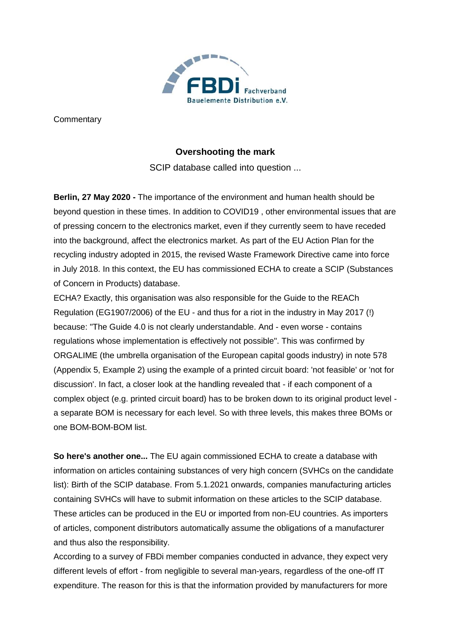

**Commentary** 

# **Overshooting the mark**

SCIP database called into question ...

**Berlin, 27 May 2020 -** The importance of the environment and human health should be beyond question in these times. In addition to COVID19 , other environmental issues that are of pressing concern to the electronics market, even if they currently seem to have receded into the background, affect the electronics market. As part of the EU Action Plan for the recycling industry adopted in 2015, the revised Waste Framework Directive came into force in July 2018. In this context, the EU has commissioned ECHA to create a SCIP (Substances of Concern in Products) database.

ECHA? Exactly, this organisation was also responsible for the Guide to the REACh Regulation (EG1907/2006) of the EU - and thus for a riot in the industry in May 2017 (!) because: "The Guide 4.0 is not clearly understandable. And - even worse - contains regulations whose implementation is effectively not possible". This was confirmed by ORGALIME (the umbrella organisation of the European capital goods industry) in note 578 (Appendix 5, Example 2) using the example of a printed circuit board: 'not feasible' or 'not for discussion'. In fact, a closer look at the handling revealed that - if each component of a complex object (e.g. printed circuit board) has to be broken down to its original product level a separate BOM is necessary for each level. So with three levels, this makes three BOMs or one BOM-BOM-BOM list.

**So here's another one...** The EU again commissioned ECHA to create a database with information on articles containing substances of very high concern (SVHCs on the candidate list): Birth of the SCIP database. From 5.1.2021 onwards, companies manufacturing articles containing SVHCs will have to submit information on these articles to the SCIP database. These articles can be produced in the EU or imported from non-EU countries. As importers of articles, component distributors automatically assume the obligations of a manufacturer and thus also the responsibility.

According to a survey of FBDi member companies conducted in advance, they expect very different levels of effort - from negligible to several man-years, regardless of the one-off IT expenditure. The reason for this is that the information provided by manufacturers for more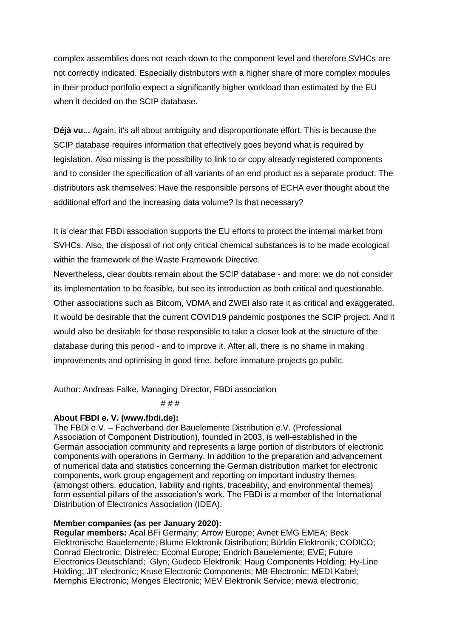complex assemblies does not reach down to the component level and therefore SVHCs are not correctly indicated. Especially distributors with a higher share of more complex modules in their product portfolio expect a significantly higher workload than estimated by the EU when it decided on the SCIP database.

**Déjà vu...** Again, it's all about ambiguity and disproportionate effort. This is because the SCIP database requires information that effectively goes beyond what is required by legislation. Also missing is the possibility to link to or copy already registered components and to consider the specification of all variants of an end product as a separate product. The distributors ask themselves: Have the responsible persons of ECHA ever thought about the additional effort and the increasing data volume? Is that necessary?

It is clear that FBDi association supports the EU efforts to protect the internal market from SVHCs. Also, the disposal of not only critical chemical substances is to be made ecological within the framework of the Waste Framework Directive.

Nevertheless, clear doubts remain about the SCIP database - and more: we do not consider its implementation to be feasible, but see its introduction as both critical and questionable. Other associations such as Bitcom, VDMA and ZWEI also rate it as critical and exaggerated. It would be desirable that the current COVID19 pandemic postpones the SCIP project. And it would also be desirable for those responsible to take a closer look at the structure of the database during this period - and to improve it. After all, there is no shame in making improvements and optimising in good time, before immature projects go public.

Author: Andreas Falke, Managing Director, FBDi association

# # #

## **About FBDI e. V. (www.fbdi.de):**

The FBDi e.V. – Fachverband der Bauelemente Distribution e.V. (Professional Association of Component Distribution), founded in 2003, is well-established in the German association community and represents a large portion of distributors of electronic components with operations in Germany. In addition to the preparation and advancement of numerical data and statistics concerning the German distribution market for electronic components, work group engagement and reporting on important industry themes (amongst others, education, liability and rights, traceability, and environmental themes) form essential pillars of the association's work. The FBDi is a member of the International Distribution of Electronics Association (IDEA).

## **Member companies (as per January 2020):**

**Regular members:** Acal BFi Germany; Arrow Europe; Avnet EMG EMEA; Beck Elektronische Bauelemente; Blume Elektronik Distribution; Bürklin Elektronik; CODICO; Conrad Electronic; Distrelec; Ecomal Europe; Endrich Bauelemente; EVE; Future Electronics Deutschland; Glyn; Gudeco Elektronik; Haug Components Holding; Hy-Line Holding; JIT electronic; Kruse Electronic Components; MB Electronic; MEDI Kabel; Memphis Electronic; Menges Electronic; MEV Elektronik Service; mewa electronic;